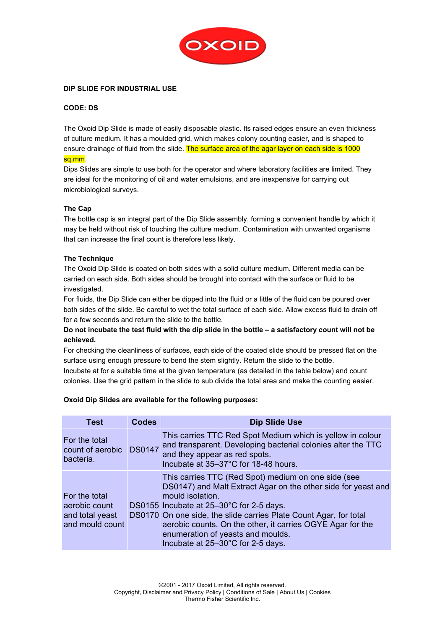

### **DIP SLIDE FOR INDUSTRIAL USE**

#### **CODE: DS**

The Oxoid Dip Slide is made of easily disposable plastic. Its raised edges ensure an even thickness of culture medium. It has a moulded grid, which makes colony counting easier, and is shaped to ensure drainage of fluid from the slide. The surface area of the agar layer on each side is 1000 sq.mm.

Dips Slides are simple to use both for the operator and where laboratory facilities are limited. They are ideal for the monitoring of oil and water emulsions, and are inexpensive for carrying out microbiological surveys.

### **The Cap**

The bottle cap is an integral part of the Dip Slide assembly, forming a convenient handle by which it may be held without risk of touching the culture medium. Contamination with unwanted organisms that can increase the final count is therefore less likely.

#### **The Technique**

The Oxoid Dip Slide is coated on both sides with a solid culture medium. Different media can be carried on each side. Both sides should be brought into contact with the surface or fluid to be investigated.

For fluids, the Dip Slide can either be dipped into the fluid or a little of the fluid can be poured over both sides of the slide. Be careful to wet the total surface of each side. Allow excess fluid to drain off for a few seconds and return the slide to the bottle.

**Do not incubate the test fluid with the dip slide in the bottle – a satisfactory count will not be achieved.** 

For checking the cleanliness of surfaces, each side of the coated slide should be pressed flat on the surface using enough pressure to bend the stem slightly. Return the slide to the bottle. Incubate at for a suitable time at the given temperature (as detailed in the table below) and count colonies. Use the grid pattern in the slide to sub divide the total area and make the counting easier.

#### **Oxoid Dip Slides are available for the following purposes:**

| Test                                                                 | <b>Codes</b> | <b>Dip Slide Use</b>                                                                                                                                                                                                                                                                                                                                                                              |
|----------------------------------------------------------------------|--------------|---------------------------------------------------------------------------------------------------------------------------------------------------------------------------------------------------------------------------------------------------------------------------------------------------------------------------------------------------------------------------------------------------|
| For the total<br>count of aerobic DS0147<br>bacteria.                |              | This carries TTC Red Spot Medium which is yellow in colour<br>and transparent. Developing bacterial colonies alter the TTC<br>and they appear as red spots.<br>Incubate at 35-37°C for 18-48 hours.                                                                                                                                                                                               |
| For the total<br>aerobic count<br>and total yeast<br>and mould count |              | This carries TTC (Red Spot) medium on one side (see<br>DS0147) and Malt Extract Agar on the other side for yeast and<br>mould isolation.<br>DS0155 Incubate at 25-30°C for 2-5 days.<br>DS0170 On one side, the slide carries Plate Count Agar, for total<br>aerobic counts. On the other, it carries OGYE Agar for the<br>enumeration of yeasts and moulds.<br>Incubate at 25-30°C for 2-5 days. |